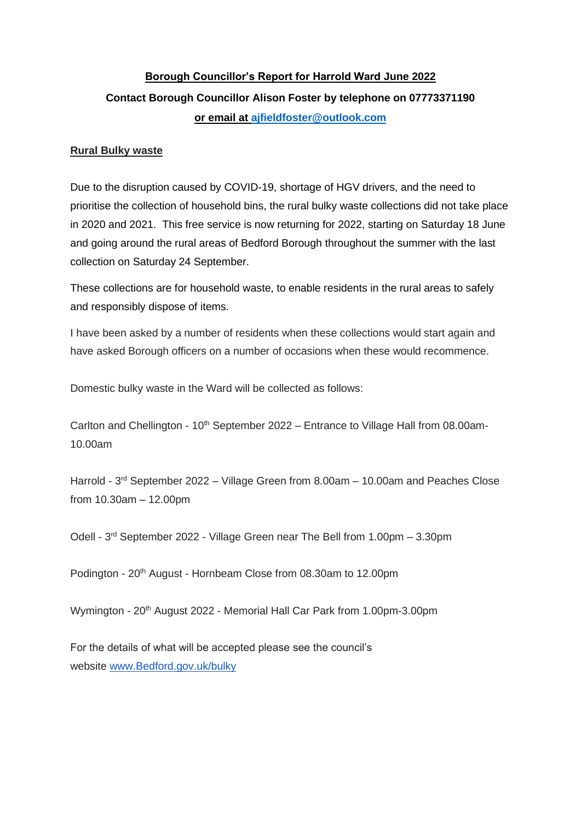# **Borough Councillor's Report for Harrold Ward June 2022 Contact Borough Councillor Alison Foster by telephone on 07773371190 or email at [ajfieldfoster@outlook.com](mailto:ajfieldfoster@outlook.com)**

#### **Rural Bulky waste**

Due to the disruption caused by COVID-19, shortage of HGV drivers, and the need to prioritise the collection of household bins, the rural bulky waste collections did not take place in 2020 and 2021. This free service is now returning for 2022, starting on Saturday 18 June and going around the rural areas of Bedford Borough throughout the summer with the last collection on Saturday 24 September.

These collections are for household waste, to enable residents in the rural areas to safely and responsibly dispose of items.

I have been asked by a number of residents when these collections would start again and have asked Borough officers on a number of occasions when these would recommence.

Domestic bulky waste in the Ward will be collected as follows:

Carlton and Chellington -  $10<sup>th</sup>$  September 2022 – Entrance to Village Hall from 08.00am-10.00am

Harrold - 3<sup>rd</sup> September 2022 – Village Green from 8.00am – 10.00am and Peaches Close from 10.30am – 12.00pm

Odell - 3 rd September 2022 - Village Green near The Bell from 1.00pm – 3.30pm

Podington - 20<sup>th</sup> August - Hornbeam Close from 08.30am to 12.00pm

Wymington - 20<sup>th</sup> August 2022 - Memorial Hall Car Park from 1.00pm-3.00pm

For the details of what will be accepted please see the council's website [www.Bedford.gov.uk/bulky](http://www.bedford.gov.uk/bulky)